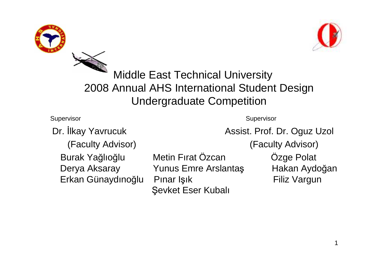



## Middle East Technical University 2008 Annual AHS International Student Design Undergraduate Competition

**Supervisor** 

**Supervisor** 

(Faculty Advisor) (Faculty Advisor)

Dr. İlkay Yavrucuk **Assist. Prof. Dr. Oguz Uzol** 

Burak Yağlıothe contract of the contract of the contract of the contract of the contract of Erkan Günaydıno

Metin Fırat Özcan Özge Polat Derya Aksaray Yunus Emre Arslantaş şık Filiz Vargun Pınar Işık Şevket Eser Kubalı

ş Hakan Aydoğan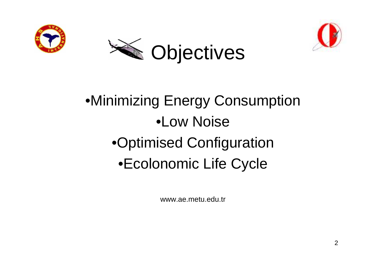





## •Minimizing Energy Consumption•Low Noise•Optimised Configuration•Ecolonomic Life Cycle

www.ae.metu.edu.tr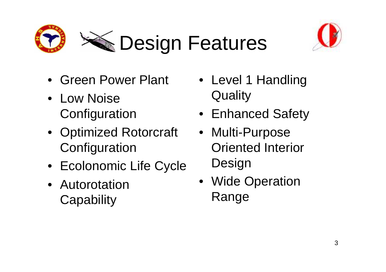



- Green Power Plant
- Low Noise **Configuration**
- Optimized Rotorcraft **Configuration**
- Ecolonomic Life Cycle
- Autorotation **Capability**
- Level 1 Handling **Quality**
- Enhanced Safety
- Multi-Purpose Oriented Interior **Design**
- Wide Operation Range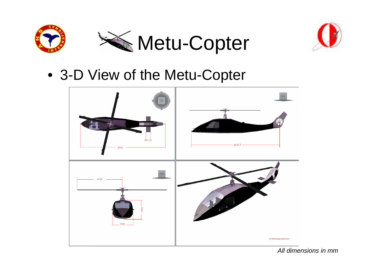



• 3-D View of the Metu-Copter

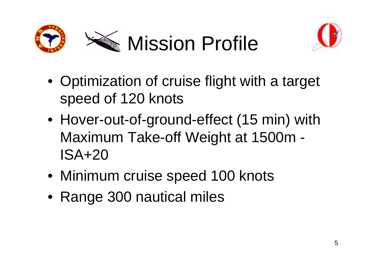



- Optimization of cruise flight with a target speed of 120 knots
- Hover-out-of-ground-effect (15 min) with Maximum Take-off Weight at 1500m -ISA+20
- Minimum cruise speed 100 knots
- Range 300 nautical miles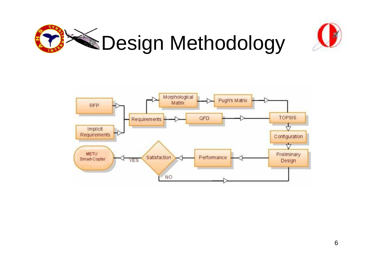



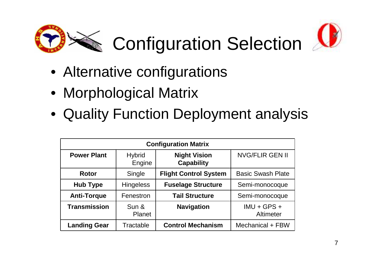



- Alternative configurations
- Morphological Matrix
- Quality Function Deployment analysis

| <b>Configuration Matrix</b> |                         |                                          |                            |
|-----------------------------|-------------------------|------------------------------------------|----------------------------|
| <b>Power Plant</b>          | <b>Hybrid</b><br>Engine | <b>Night Vision</b><br><b>Capability</b> | <b>NVG/FLIR GEN II</b>     |
| <b>Rotor</b>                | Single                  | <b>Flight Control System</b>             | <b>Basic Swash Plate</b>   |
| <b>Hub Type</b>             | <b>Hingeless</b>        | <b>Fuselage Structure</b>                | Semi-monocoque             |
| <b>Anti-Torque</b>          | Fenestron               | <b>Tail Structure</b>                    | Semi-monocoque             |
| <b>Transmission</b>         | Sun &<br><b>Planet</b>  | <b>Navigation</b>                        | $IMU + GPS +$<br>Altimeter |
| <b>Landing Gear</b>         | Tractable               | <b>Control Mechanism</b>                 | Mechanical + FBW           |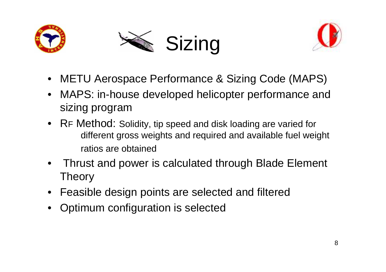





- METU Aerospace Performance & Sizing Code (MAPS)
- $\bullet$  MAPS: in-house developed helicopter performance and sizing program
- R<sup>F</sup> Method: Solidity, tip speed and disk loading are varied for different gross weights and required and available fuel weightratios are obtained
- • Thrust and power is calculated through Blade Element Theory
- Feasible design points are selected and filtered
- •Optimum configuration is selected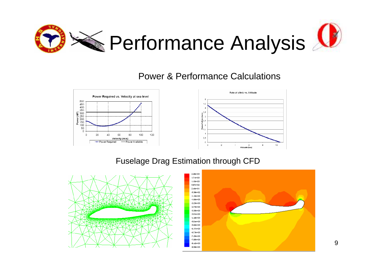

## Power & Performance Calculations





## Fuselage Drag Estimation through CFD



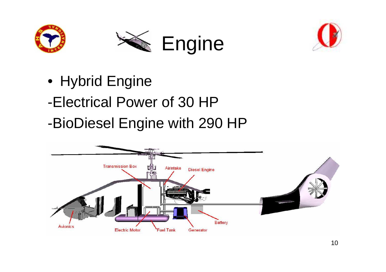





- Hybrid Engine
- -Electrical Power of 30 HP
- -BioDiesel Engine with 290 HP

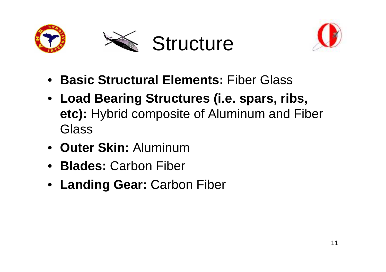





- **Basic Structural Elements:** Fiber Glass
- **Load Bearing Structures (i.e. spars, ribs, etc):** Hybrid composite of Aluminum and Fiber **Glass**
- **Outer Skin:** Aluminum
- **Blades:** Carbon Fiber
- **Landing Gear:** Carbon Fiber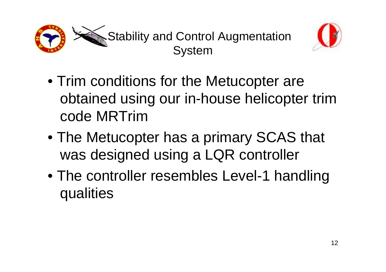



- Trim conditions for the Metucopter are obtained using our in-house helicopter trim code MRTrim
- The Metucopter has a primary SCAS that was designed using a LQR controller
- The controller resembles Level-1 handling qualities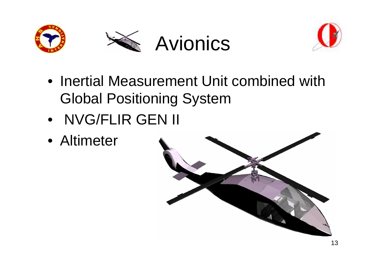





- Inertial Measurement Unit combined with Global Positioning System
- NVG/FLIR GEN II
- Altimeter

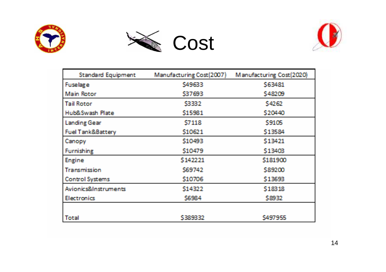





| <b>Standard Equipment</b>    | Manufacturing Cost(2007) | Manufacturing Cost(2020) |
|------------------------------|--------------------------|--------------------------|
| <b>Fuselage</b>              | \$49633                  | \$63481                  |
| Main Rotor                   | \$37693                  | \$48209                  |
| <b>Tail Rotor</b>            | \$3332                   | \$4262                   |
| Hub&Swash Plate              | \$15981                  | \$20440                  |
| <b>Landing Gear</b>          | \$7118                   | \$9105                   |
| <b>Fuel Tank&amp;Battery</b> | \$10621                  | \$13584                  |
| Canopy                       | \$10493                  | \$13421                  |
| <b>Furnishing</b>            | \$10479                  | \$13408                  |
| <b>Engine</b>                | \$142221                 | \$181900                 |
| Transmission                 | S69742                   | <b>\$89200</b>           |
| <b>Control Systems</b>       | \$10706                  | \$13693                  |
| Avionics&Instruments         | \$14322                  | \$18318                  |
| <b>Electronics</b>           | <b>S6984</b>             | \$8932                   |
|                              |                          |                          |
| Total                        | \$389332                 | \$497955                 |